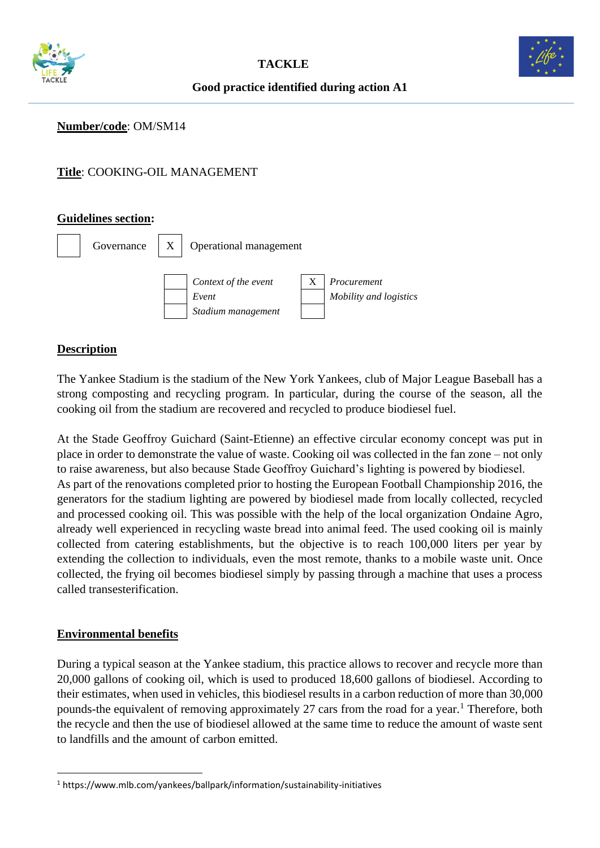



# **Good practice identified during action A1**

## **Number/code**: OM/SM14

# **Title**: COOKING-OIL MANAGEMENT

### **Guidelines section:**



#### **Description**

The Yankee Stadium is the stadium of the New York Yankees, club of Major League Baseball has a strong composting and recycling program. In particular, during the course of the season, all the cooking oil from the stadium are recovered and recycled to produce biodiesel fuel.

At the Stade Geoffroy Guichard (Saint-Etienne) an effective circular economy concept was put in place in order to demonstrate the value of waste. Cooking oil was collected in the fan zone – not only to raise awareness, but also because Stade Geoffroy Guichard's lighting is powered by biodiesel. As part of the renovations completed prior to hosting the European Football Championship 2016, the generators for the stadium lighting are powered by biodiesel made from locally collected, recycled and processed cooking oil. This was possible with the help of the local organization [Ondaine Agro,](http://www.ondaine-agro.com/) already well experienced in recycling waste bread into animal feed. The used cooking oil is mainly collected from catering establishments, but the objective is to reach 100,000 liters per year by extending the collection to individuals, even the most remote, thanks to a [mobile](https://www.youtube.com/watch?v=x9EV7gIqVug) waste unit. Once collected, the frying oil becomes biodiesel simply by passing through a machine that uses a process called [transesterification.](http://www.dictionary.com/browse/transesterification)

### **Environmental benefits**

During a typical season at the Yankee stadium, this practice allows to recover and recycle more than 20,000 gallons of cooking oil, which is used to produced 18,600 gallons of biodiesel. According to their estimates, when used in vehicles, this biodiesel results in a carbon reduction of more than 30,000 pounds-the equivalent of removing approximately 27 cars from the road for a year.<sup>1</sup> Therefore, both the recycle and then the use of biodiesel allowed at the same time to reduce the amount of waste sent to landfills and the amount of carbon emitted.

<sup>1</sup> https://www.mlb.com/yankees/ballpark/information/sustainability-initiatives